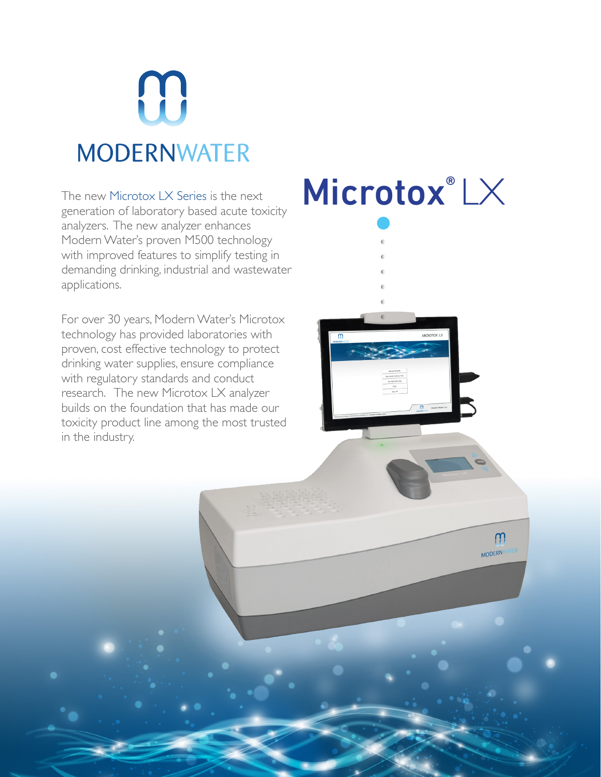

generation of laboratory based acute toxicity analyzers. The new analyzer enhances Modern Water's proven M500 technology with improved features to simplify testing in demanding drinking, industrial and wastewater applications.

For over 30 years, Modern Water's Microtox technology has provided laboratories with proven, cost effective technology to protect drinking water supplies, ensure compliance with regulatory standards and conduct research. The new Microtox LX analyzer builds on the foundation that has made our toxicity product line among the most trusted in the industry.

# The new Microtox LX Series is the next  $\blacksquare$   $\blacksquare$   $\blacksquare$   $\blacksquare$   $\blacksquare$   $\blacksquare$   $\blacksquare$   $\blacksquare$   $\blacksquare$   $\blacksquare$   $\blacksquare$   $\blacksquare$   $\blacksquare$   $\blacksquare$   $\blacksquare$   $\blacksquare$   $\blacksquare$   $\blacksquare$   $\blacksquare$   $\blacksquare$   $\blacksquare$   $\blacksquare$   $\blacksquare$   $\blacksquare$   $\blacksquare$   $\blacksquare$

W **MODERNA**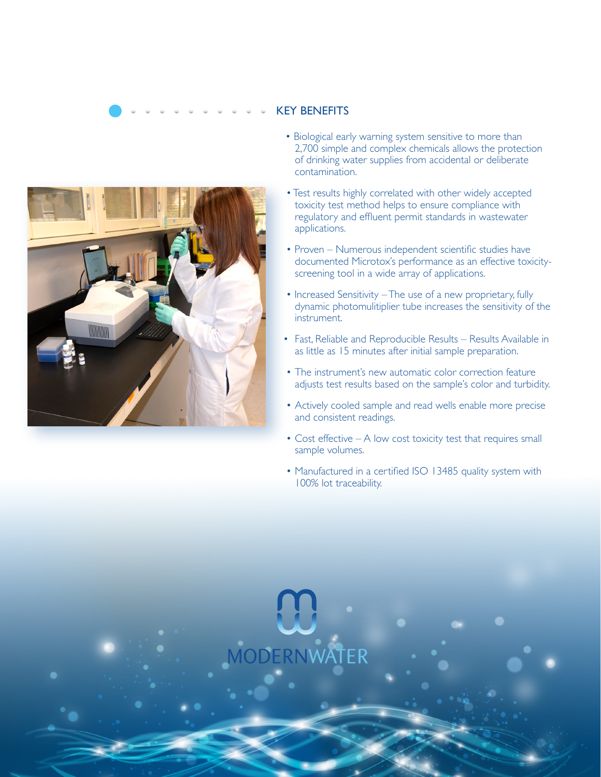

## KEY BENEFITS

- Biological early warning system sensitive to more than 2,700 simple and complex chemicals allows the protection of drinking water supplies from accidental or deliberate contamination.
- Test results highly correlated with other widely accepted toxicity test method helps to ensure compliance with regulatory and effluent permit standards in wastewater applications.
- Proven Numerous independent scientific studies have documented Microtox's performance as an effective toxicityscreening tool in a wide array of applications.
- Increased Sensitivity The use of a new proprietary, fully dynamic photomulitiplier tube increases the sensitivity of the instrument.
- Fast, Reliable and Reproducible Results Results Available in as little as 15 minutes after initial sample preparation.
- The instrument's new automatic color correction feature adjusts test results based on the sample's color and turbidity.
- Actively cooled sample and read wells enable more precise and consistent readings.
- Cost effective A low cost toxicity test that requires small sample volumes.
- Manufactured in a certified ISO 13485 quality system with 100% lot traceability.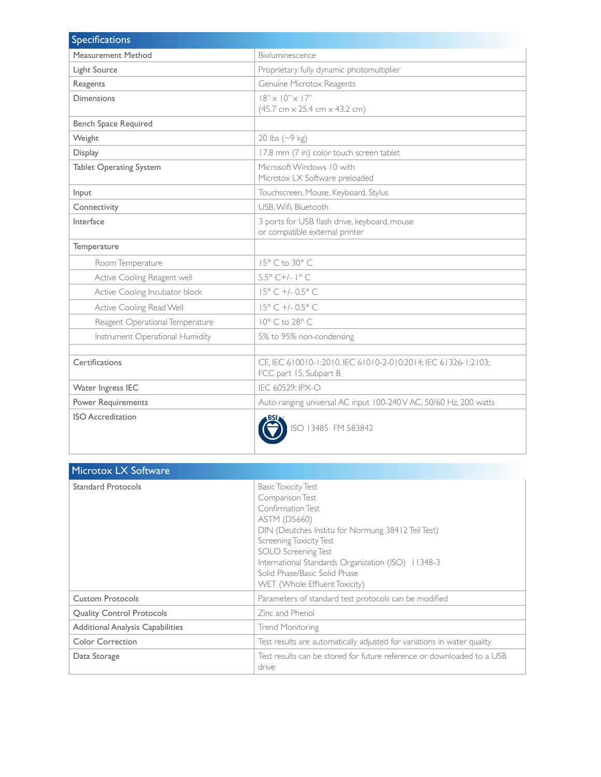| <b>Specifications</b>           |                                                                                          |
|---------------------------------|------------------------------------------------------------------------------------------|
| Measurement Method              | Bioluminescence                                                                          |
| Light Source                    | Proprietary fully dynamic photomultiplier                                                |
| Reagents                        | Genuine Microtox Reagents                                                                |
| <b>Dimensions</b>               | $18" \times 10" \times 17"$<br>$(45.7 cm \times 25.4 cm \times 43.2 cm)$                 |
| <b>Bench Space Required</b>     |                                                                                          |
| Weight                          | 20 lbs $({\sim}9$ kg)                                                                    |
| Display                         | 17.8 mm (7 in) color touch screen tablet                                                 |
| <b>Tablet Operating System</b>  | Microsoft Windows 10 with<br>Microtox LX Software preloaded                              |
| Input                           | Touchscreen, Mouse, Keyboard, Stylus                                                     |
| Connectivity                    | USB, Wifi, Bluetooth                                                                     |
| Interface                       | 3 ports for USB flash drive, keyboard, mouse<br>or compatible external printer           |
| Temperature                     |                                                                                          |
| Room Temperature                | 15° C to 30° C                                                                           |
| Active Cooling Reagent well     | 5.5° C+/- 1° C                                                                           |
| Active Cooling Incubator block  | 15° C +/- 0.5° C                                                                         |
| Active Cooling Read Well        | 15° C +/- 0.5° C                                                                         |
| Reagent Operational Temperature | 10° C to 28° C                                                                           |
| Instrument Operational Humidity | 5% to 95% non-condensing                                                                 |
|                                 |                                                                                          |
| Certifications                  | CE, IEC 610010-1:2010, IEC 61010-2-010:2014; IEC 61326-1:2103;<br>FCC part 15, Subpart B |
| Water Ingress IEC               | IEC 60529: IPX-O                                                                         |
| Power Requirements              | Auto-ranging universal AC input 100-240 V AC, 50/60 Hz, 200 watts                        |
| <b>ISO</b> Accreditation        | ISO 13485 FM 583842                                                                      |

| Microtox LX Software                    |                                                                                                                                                                                                                                                                                                                                  |
|-----------------------------------------|----------------------------------------------------------------------------------------------------------------------------------------------------------------------------------------------------------------------------------------------------------------------------------------------------------------------------------|
| <b>Standard Protocols</b>               | <b>Basic Toxicity Test</b><br>Comparison Test<br>Confirmation Test<br><b>ASTM (D5660)</b><br>DIN (Deutches Institu for Normung 38412 Teil Test)<br>Screening Toxicity Test<br><b>SOLO</b> Screening Test<br>International Standards Organization (ISO) 11348-3<br>Solid Phase/Basic Solid Phase<br>WET (Whole Effluent Toxicity) |
| <b>Custom Protocols</b>                 | Parameters of standard test protocols can be modified                                                                                                                                                                                                                                                                            |
| <b>Quality Control Protocols</b>        | Zinc and Phenol                                                                                                                                                                                                                                                                                                                  |
| <b>Additional Analysis Capabilities</b> | Trend Monitoring                                                                                                                                                                                                                                                                                                                 |
| <b>Color Correction</b>                 | Test results are automatically adjusted for variations in water quality                                                                                                                                                                                                                                                          |
| Data Storage                            | Test results can be stored for future reference or downloaded to a USB<br>drive                                                                                                                                                                                                                                                  |